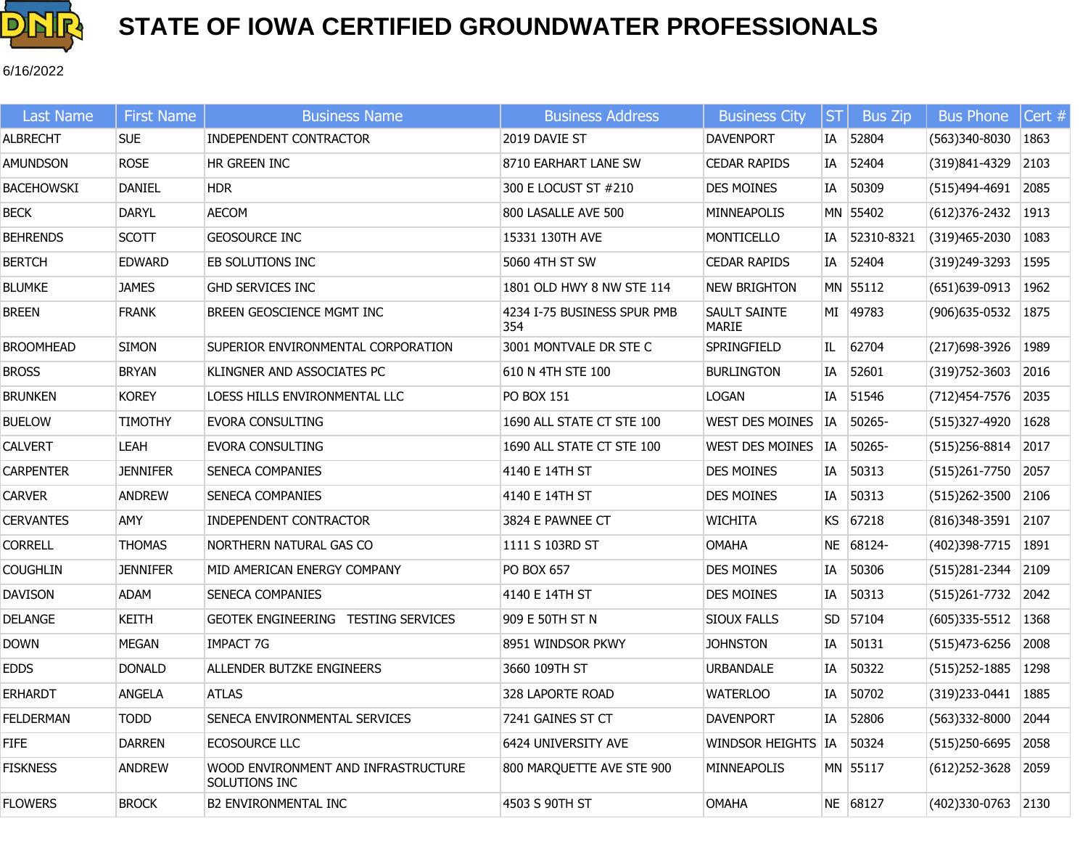

6/16/2022

| <b>Last Name</b>  | <b>First Name</b> | <b>Business Name</b>                                 | <b>Business Address</b>            | <b>Business City</b>          | <b>ST</b> | <b>Bus Zip</b> | <b>Bus Phone</b>         | Cert # |
|-------------------|-------------------|------------------------------------------------------|------------------------------------|-------------------------------|-----------|----------------|--------------------------|--------|
| <b>ALBRECHT</b>   | <b>SUE</b>        | <b>INDEPENDENT CONTRACTOR</b>                        | 2019 DAVIE ST                      | <b>DAVENPORT</b>              | IA        | 52804          | $(563)340-8030$          | 1863   |
| <b>AMUNDSON</b>   | <b>ROSE</b>       | HR GREEN INC                                         | 8710 EARHART LANE SW               | <b>CEDAR RAPIDS</b>           |           | IA 52404       | $(319)841-4329$ 2103     |        |
| <b>BACEHOWSKI</b> | <b>DANIEL</b>     | <b>HDR</b>                                           | 300 E LOCUST ST #210               | <b>DES MOINES</b>             | IA        | 50309          | (515)494-4691            | 2085   |
| <b>BECK</b>       | DARYL             | AECOM                                                | 800 LASALLE AVE 500                | MINNEAPOLIS                   |           | MN 55402       | $(612)376-2432$ 1913     |        |
| <b>BEHRENDS</b>   | <b>SCOTT</b>      | <b>GEOSOURCE INC</b>                                 | 15331 130TH AVE                    | <b>MONTICELLO</b>             | IA        | 52310-8321     | (319)465-2030            | 1083   |
| <b>BERTCH</b>     | <b>EDWARD</b>     | EB SOLUTIONS INC                                     | 5060 4TH ST SW                     | <b>CEDAR RAPIDS</b>           |           | IA 52404       | (319)249-3293            | 1595   |
| <b>BLUMKE</b>     | <b>JAMES</b>      | <b>GHD SERVICES INC</b>                              | 1801 OLD HWY 8 NW STE 114          | <b>NEW BRIGHTON</b>           |           | MN 55112       | $(651)639-0913$   1962   |        |
| <b>BREEN</b>      | <b>FRANK</b>      | BREEN GEOSCIENCE MGMT INC                            | 4234 I-75 BUSINESS SPUR PMB<br>354 | SAULT SAINTE<br>MARIE         |           | MI 49783       | (906) 635-0532           | 1875   |
| <b>BROOMHEAD</b>  | <b>SIMON</b>      | SUPERIOR ENVIRONMENTAL CORPORATION                   | 3001 MONTVALE DR STE C             | <b>SPRINGFIELD</b>            | IL        | 62704          | (217) 698-3926           | 1989   |
| <b>BROSS</b>      | <b>BRYAN</b>      | KLINGNER AND ASSOCIATES PC                           | 610 N 4TH STE 100                  | <b>BURLINGTON</b>             | IA        | 52601          | $(319)752 - 3603$        | 2016   |
| <b>BRUNKEN</b>    | <b>KOREY</b>      | LOESS HILLS ENVIRONMENTAL LLC                        | PO BOX 151                         | LOGAN                         | IA        | 51546          | (712) 454-7576           | 2035   |
| <b>BUELOW</b>     | <b>TIMOTHY</b>    | EVORA CONSULTING                                     | 1690 ALL STATE CT STE 100          | WEST DES MOINES               |           | IA 50265-      | (515)327-4920            | 1628   |
| <b>CALVERT</b>    | <b>LEAH</b>       | <b>EVORA CONSULTING</b>                              | 1690 ALL STATE CT STE 100          | WEST DES MOINES   IA   50265- |           |                | $(515)$ 256-8814         | 2017   |
| <b>CARPENTER</b>  | <b>JENNIFER</b>   | SENECA COMPANIES                                     | 4140 E 14TH ST                     | <b>DES MOINES</b>             | IA        | 50313          | $(515)261 - 7750$        | 2057   |
| <b>CARVER</b>     | <b>ANDREW</b>     | SENECA COMPANIES                                     | 4140 E 14TH ST                     | <b>DES MOINES</b>             | IA        | 50313          | $(515)262 - 3500$ 2106   |        |
| <b>CERVANTES</b>  | AMY               | INDEPENDENT CONTRACTOR                               | 3824 E PAWNEE CT                   | WICHITA                       | KS.       | 67218          | $(816)348-3591$          | 2107   |
| <b>CORRELL</b>    | <b>THOMAS</b>     | NORTHERN NATURAL GAS CO                              | 1111 S 103RD ST                    | OMAHA                         |           | NE 68124-      | (402)398-7715            | 1891   |
| <b>COUGHLIN</b>   | <b>JENNIFER</b>   | MID AMERICAN ENERGY COMPANY                          | PO BOX 657                         | <b>DES MOINES</b>             | IA        | 50306          | (515)281-2344 2109       |        |
| <b>DAVISON</b>    | <b>ADAM</b>       | SENECA COMPANIES                                     | 4140 E 14TH ST                     | <b>DES MOINES</b>             | IA        | 50313          | $(515)261 - 7732$        | 2042   |
| <b>DELANGE</b>    | <b>KEITH</b>      | GEOTEK ENGINEERING TESTING SERVICES                  | 909 E 50TH ST N                    | <b>SIOUX FALLS</b>            |           | SD 57104       | $(605)335 - 5512$   1368 |        |
| Down              | <b>MEGAN</b>      | <b>IMPACT 7G</b>                                     | 8951 WINDSOR PKWY                  | <b>JOHNSTON</b>               | IA        | 50131          | $(515)473-6256$          | 2008   |
| <b>EDDS</b>       | <b>DONALD</b>     | ALLENDER BUTZKE ENGINEERS                            | 3660 109TH ST                      | URBANDALE                     |           | IA 50322       | (515) 252-1885   1298    |        |
| <b>ERHARDT</b>    | ANGELA            | <b>ATLAS</b>                                         | 328 LAPORTE ROAD                   | <b>WATERLOO</b>               | IA        | 50702          | (319)233-0441            | 1885   |
| <b>FELDERMAN</b>  | <b>TODD</b>       | SENECA ENVIRONMENTAL SERVICES                        | 7241 GAINES ST CT                  | <b>DAVENPORT</b>              | IA        | 52806          | $(563)332 - 8000$        | 2044   |
| <b>FIFE</b>       | <b>DARREN</b>     | ECOSOURCE LLC                                        | 6424 UNIVERSITY AVE                | WINDSOR HEIGHTS IA 50324      |           |                | $(515)$ 250-6695         | 2058   |
| <b>FISKNESS</b>   | <b>ANDREW</b>     | WOOD ENVIRONMENT AND INFRASTRUCTURE<br>SOLUTIONS INC | 800 MARQUETTE AVE STE 900          | MINNEAPOLIS                   |           | MN 55117       | $(612)252 - 3628$        | 2059   |
| <b>FLOWERS</b>    | <b>BROCK</b>      | <b>B2 ENVIRONMENTAL INC</b>                          | 4503 S 90TH ST                     | <b>OMAHA</b>                  |           | NE 68127       | $(402)330-0763$ 2130     |        |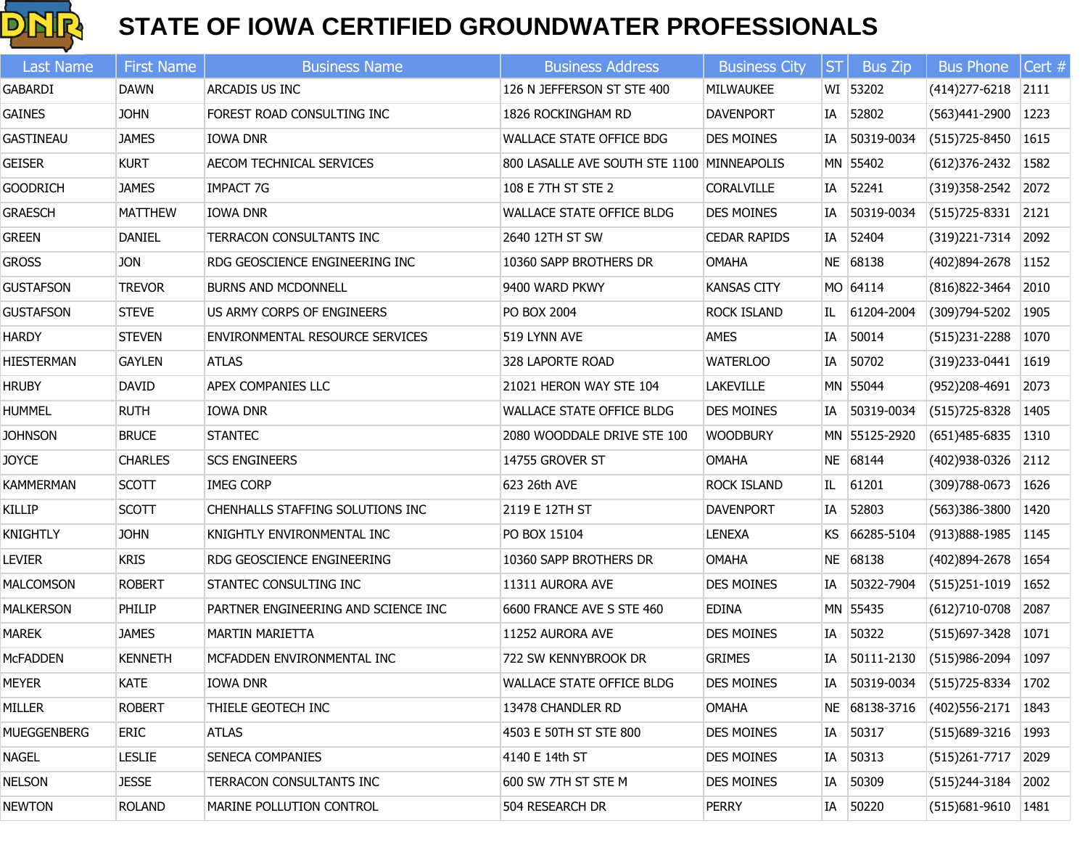

| <b>Last Name</b>   | <b>First Name</b> | <b>Business Name</b>                | <b>Business Address</b>                    | <b>Business City</b> | ST | <b>Bus Zip</b> | <b>Bus Phone</b>       | Cert # |
|--------------------|-------------------|-------------------------------------|--------------------------------------------|----------------------|----|----------------|------------------------|--------|
| <b>GABARDI</b>     | <b>DAWN</b>       | ARCADIS US INC                      | 126 N JEFFERSON ST STE 400                 | MILWAUKEE            |    | WI 53202       | $(414)$ 277-6218 2111  |        |
| <b>GAINES</b>      | <b>JOHN</b>       | FOREST ROAD CONSULTING INC          | 1826 ROCKINGHAM RD                         | <b>DAVENPORT</b>     |    | IA 52802       | (563)441-2900          | 1223   |
| <b>GASTINEAU</b>   | <b>JAMES</b>      | <b>IOWA DNR</b>                     | WALLACE STATE OFFICE BDG                   | <b>DES MOINES</b>    |    | IA 50319-0034  | (515) 725-8450         | 1615   |
| <b>GEISER</b>      | <b>KURT</b>       | AECOM TECHNICAL SERVICES            | 800 LASALLE AVE SOUTH STE 1100 MINNEAPOLIS |                      |    | MN 55402       | $(612)376-2432$   1582 |        |
| <b>GOODRICH</b>    | <b>JAMES</b>      | IMPACT 7G                           | 108 E 7TH ST STE 2                         | <b>CORALVILLE</b>    |    | IA 52241       | $(319)358 - 2542$      | 2072   |
| <b>GRAESCH</b>     | <b>MATTHEW</b>    | <b>IOWA DNR</b>                     | WALLACE STATE OFFICE BLDG                  | <b>DES MOINES</b>    |    | IA 50319-0034  | $(515)$ 725-8331 2121  |        |
| <b>GREEN</b>       | <b>DANIEL</b>     | TERRACON CONSULTANTS INC            | 2640 12TH ST SW                            | <b>CEDAR RAPIDS</b>  |    | IA 52404       | $(319)$ 221-7314 2092  |        |
| <b>GROSS</b>       | <b>JON</b>        | RDG GEOSCIENCE ENGINEERING INC      | 10360 SAPP BROTHERS DR                     | <b>OMAHA</b>         |    | NE 68138       | $(402)894 - 2678$      | 1152   |
| <b>GUSTAFSON</b>   | <b>TREVOR</b>     | <b>BURNS AND MCDONNELL</b>          | 9400 WARD PKWY                             | <b>KANSAS CITY</b>   |    | MO 64114       | (816) 822-3464         | 2010   |
| <b>GUSTAFSON</b>   | <b>STEVE</b>      | US ARMY CORPS OF ENGINEERS          | PO BOX 2004                                | <b>ROCK ISLAND</b>   |    | IL 61204-2004  | (309) 794-5202         | 1905   |
| <b>HARDY</b>       | <b>STEVEN</b>     | ENVIRONMENTAL RESOURCE SERVICES     | 519 LYNN AVE                               | <b>AMES</b>          | IA | 50014          | (515)231-2288          | 1070   |
| <b>HIESTERMAN</b>  | <b>GAYLEN</b>     | <b>ATLAS</b>                        | 328 LAPORTE ROAD                           | <b>WATERLOO</b>      |    | IA 50702       | $(319)$ 233-0441 1619  |        |
| <b>HRUBY</b>       | <b>DAVID</b>      | APEX COMPANIES LLC                  | 21021 HERON WAY STE 104                    | <b>LAKEVILLE</b>     |    | MN 55044       | $(952)208-4691$ 2073   |        |
| <b>HUMMEL</b>      | <b>RUTH</b>       | IOWA DNR                            | <b>WALLACE STATE OFFICE BLDG</b>           | <b>DES MOINES</b>    |    | IA 50319-0034  | (515) 725-8328         | 1405   |
| <b>JOHNSON</b>     | <b>BRUCE</b>      | <b>STANTEC</b>                      | 2080 WOODDALE DRIVE STE 100                | <b>WOODBURY</b>      |    | MN 55125-2920  | $(651)485-6835$   1310 |        |
| <b>JOYCE</b>       | <b>CHARLES</b>    | <b>SCS ENGINEERS</b>                | 14755 GROVER ST                            | <b>OMAHA</b>         |    | NE 68144       | (402) 938-0326 2112    |        |
| <b>KAMMERMAN</b>   | <b>SCOTT</b>      | <b>IMEG CORP</b>                    | 623 26th AVE                               | <b>ROCK ISLAND</b>   | IL | 61201          | (309)788-0673          | 1626   |
| <b>KILLIP</b>      | <b>SCOTT</b>      | CHENHALLS STAFFING SOLUTIONS INC    | 2119 E 12TH ST                             | <b>DAVENPORT</b>     |    | IA 52803       | (563)386-3800          | 1420   |
| <b>KNIGHTLY</b>    | <b>JOHN</b>       | KNIGHTLY ENVIRONMENTAL INC          | PO BOX 15104                               | <b>LENEXA</b>        |    | KS 66285-5104  | $(913)888 - 1985$      | 1145   |
| <b>LEVIER</b>      | <b>KRIS</b>       | RDG GEOSCIENCE ENGINEERING          | 10360 SAPP BROTHERS DR                     | <b>OMAHA</b>         |    | NE 68138       | (402)894-2678          | 1654   |
| <b>MALCOMSON</b>   | <b>ROBERT</b>     | STANTEC CONSULTING INC              | 11311 AURORA AVE                           | <b>DES MOINES</b>    |    | IA 50322-7904  | $(515)$ 251-1019       | 1652   |
| <b>MALKERSON</b>   | PHILIP            | PARTNER ENGINEERING AND SCIENCE INC | 6600 FRANCE AVE S STE 460                  | <b>EDINA</b>         |    | MN 55435       | $(612)710-0708$        | 2087   |
| <b>MAREK</b>       | <b>JAMES</b>      | <b>MARTIN MARIETTA</b>              | 11252 AURORA AVE                           | <b>DES MOINES</b>    |    | IA 50322       | (515)697-3428          | 1071   |
| <b>McFADDEN</b>    | <b>KENNETH</b>    | MCFADDEN ENVIRONMENTAL INC          | 722 SW KENNYBROOK DR                       | <b>GRIMES</b>        |    | IA 50111-2130  | (515)986-2094 1097     |        |
| <b>MEYER</b>       | <b>KATE</b>       | IOWA DNR                            | <b>WALLACE STATE OFFICE BLDG</b>           | <b>DES MOINES</b>    |    | IA 50319-0034  | $(515)$ 725-8334 1702  |        |
| MILLER             | <b>ROBERT</b>     | THIELE GEOTECH INC                  | 13478 CHANDLER RD                          | OMAHA                |    | NE 68138-3716  | $(402)$ 556-2171       | 1843   |
| <b>MUEGGENBERG</b> | <b>ERIC</b>       | <b>ATLAS</b>                        | 4503 E 50TH ST STE 800                     | <b>DES MOINES</b>    |    | IA 50317       | $(515)689-3216$ 1993   |        |
| <b>NAGEL</b>       | <b>LESLIE</b>     | SENECA COMPANIES                    | 4140 E 14th ST                             | <b>DES MOINES</b>    |    | IA 50313       | $(515)261 - 7717$      | 2029   |
| <b>NELSON</b>      | <b>JESSE</b>      | TERRACON CONSULTANTS INC            | 600 SW 7TH ST STE M                        | <b>DES MOINES</b>    |    | IA 50309       | $(515)$ 244-3184       | 2002   |
| <b>NEWTON</b>      | <b>ROLAND</b>     | MARINE POLLUTION CONTROL            | 504 RESEARCH DR                            | <b>PERRY</b>         |    | IA 50220       | (515) 681-9610         | 1481   |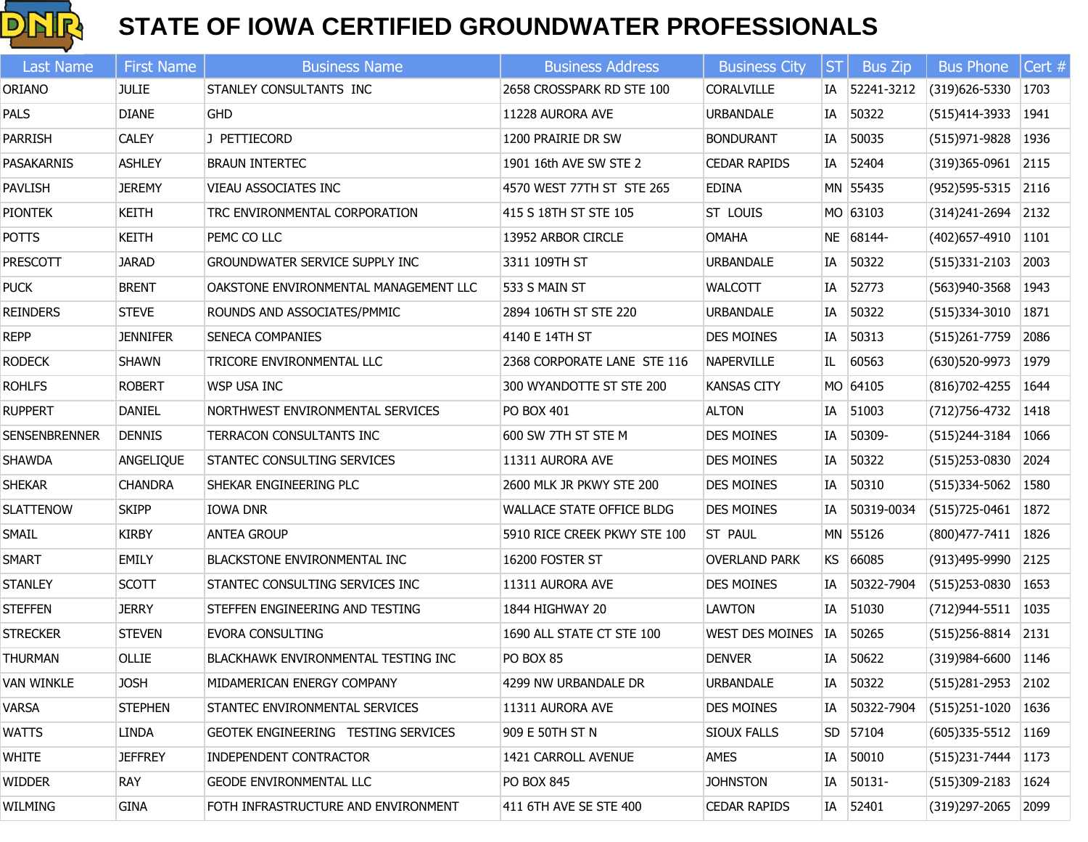

| Last Name            | <b>First Name</b> | <b>Business Name</b>                  | <b>Business Address</b>      | <b>Business City</b>   | $ \mathsf{ST} $ | <b>Bus Zip</b> | <b>Bus Phone</b>         | Cert $#$ |
|----------------------|-------------------|---------------------------------------|------------------------------|------------------------|-----------------|----------------|--------------------------|----------|
| ORIANO               | <b>JULIE</b>      | STANLEY CONSULTANTS INC               | 2658 CROSSPARK RD STE 100    | <b>CORALVILLE</b>      |                 | IA 52241-3212  | (319)626-5330            | 1703     |
| PALS                 | <b>DIANE</b>      | <b>GHD</b>                            | 11228 AURORA AVE             | <b>URBANDALE</b>       | IA              | 50322          | (515)414-3933   1941     |          |
| <b>PARRISH</b>       | <b>CALEY</b>      | J PETTIECORD                          | 1200 PRAIRIE DR SW           | <b>BONDURANT</b>       | IA              | 50035          | $(515)971-9828$   1936   |          |
| PASAKARNIS           | <b>ASHLEY</b>     | <b>BRAUN INTERTEC</b>                 | 1901 16th AVE SW STE 2       | <b>CEDAR RAPIDS</b>    |                 | IA 52404       | (319) 365-0961 2115      |          |
| PAVLISH              | <b>JEREMY</b>     | VIEAU ASSOCIATES INC                  | 4570 WEST 77TH ST STE 265    | <b>EDINA</b>           |                 | MN 55435       | $(952)595 - 5315$ 2116   |          |
| <b>PIONTEK</b>       | KEITH             | TRC ENVIRONMENTAL CORPORATION         | 415 S 18TH ST STE 105        | <b>ST LOUIS</b>        |                 | MO 63103       | $(314)$ 241-2694 2132    |          |
| <b>POTTS</b>         | <b>KEITH</b>      | PEMC CO LLC                           | 13952 ARBOR CIRCLE           | <b>OMAHA</b>           |                 | NE 68144-      | $(402)$ 657-4910 1101    |          |
| <b>PRESCOTT</b>      | <b>JARAD</b>      | <b>GROUNDWATER SERVICE SUPPLY INC</b> | 3311 109TH ST                | <b>URBANDALE</b>       |                 | IA 50322       | $(515)331-2103$ 2003     |          |
| <b>PUCK</b>          | <b>BRENT</b>      | OAKSTONE ENVIRONMENTAL MANAGEMENT LLC | 533 S MAIN ST                | <b>WALCOTT</b>         | IA              | 52773          | $(563)940-3568$   1943   |          |
| <b>REINDERS</b>      | <b>STEVE</b>      | ROUNDS AND ASSOCIATES/PMMIC           | 2894 106TH ST STE 220        | <b>URBANDALE</b>       | IA              | 50322          | $(515)334-3010$   1871   |          |
| <b>REPP</b>          | <b>JENNIFER</b>   | <b>SENECA COMPANIES</b>               | 4140 E 14TH ST               | <b>DES MOINES</b>      | IA              | 50313          | $(515)261-7759$ 2086     |          |
| <b>RODECK</b>        | SHAWN             | TRICORE ENVIRONMENTAL LLC             | 2368 CORPORATE LANE STE 116  | NAPERVILLE             | IL              | 60563          | (630) 520-9973   1979    |          |
| <b>ROHLFS</b>        | <b>ROBERT</b>     | <b>WSP USA INC</b>                    | 300 WYANDOTTE ST STE 200     | <b>KANSAS CITY</b>     |                 | MO 64105       | $(816)702 - 4255$   1644 |          |
| <b>RUPPERT</b>       | DANIEL            | NORTHWEST ENVIRONMENTAL SERVICES      | PO BOX 401                   | <b>ALTON</b>           | IA              | 51003          | (712) 756-4732   1418    |          |
| <b>SENSENBRENNER</b> | <b>DENNIS</b>     | TERRACON CONSULTANTS INC              | 600 SW 7TH ST STE M          | <b>DES MOINES</b>      | IA              | 50309-         | $(515)$ 244-3184         | 1066     |
| <b>SHAWDA</b>        | ANGELIQUE         | STANTEC CONSULTING SERVICES           | 11311 AURORA AVE             | <b>DES MOINES</b>      |                 | IA 50322       | (515)253-0830 2024       |          |
| <b>SHEKAR</b>        | <b>CHANDRA</b>    | SHEKAR ENGINEERING PLC                | 2600 MLK JR PKWY STE 200     | <b>DES MOINES</b>      | IA              | 50310          | $(515)334 - 5062$   1580 |          |
| <b>SLATTENOW</b>     | <b>SKIPP</b>      | IOWA DNR                              | WALLACE STATE OFFICE BLDG    | <b>DES MOINES</b>      |                 | IA 50319-0034  | $(515)725-0461$   1872   |          |
| SMAIL                | <b>KIRBY</b>      | <b>ANTEA GROUP</b>                    | 5910 RICE CREEK PKWY STE 100 | ST PAUL                |                 | MN 55126       | (800) 477-7411   1826    |          |
| <b>SMART</b>         | EMILY             | <b>BLACKSTONE ENVIRONMENTAL INC</b>   | 16200 FOSTER ST              | <b>OVERLAND PARK</b>   |                 | KS 66085       | (913)495-9990 2125       |          |
| <b>STANLEY</b>       | <b>SCOTT</b>      | STANTEC CONSULTING SERVICES INC       | 11311 AURORA AVE             | <b>DES MOINES</b>      | IA              | 50322-7904     | $(515)$ 253-0830         | 1653     |
| <b>STEFFEN</b>       | <b>JERRY</b>      | STEFFEN ENGINEERING AND TESTING       | 1844 HIGHWAY 20              | <b>LAWTON</b>          | IA              | 51030          | $(712)944 - 5511$   1035 |          |
| <b>STRECKER</b>      | <b>STEVEN</b>     | <b>EVORA CONSULTING</b>               | 1690 ALL STATE CT STE 100    | <b>WEST DES MOINES</b> |                 | IA 50265       | $(515)$ 256-8814 2131    |          |
| <b>THURMAN</b>       | OLLIE             | BLACKHAWK ENVIRONMENTAL TESTING INC   | PO BOX 85                    | <b>DENVER</b>          | IA              | 50622          | (319)984-6600 1146       |          |
| <b>VAN WINKLE</b>    | <b>JOSH</b>       | MIDAMERICAN ENERGY COMPANY            | 4299 NW URBANDALE DR         | <b>URBANDALE</b>       |                 | IA 50322       | (515)281-2953 2102       |          |
| <b>VARSA</b>         | <b>STEPHEN</b>    | STANTEC ENVIRONMENTAL SERVICES        | 11311 AURORA AVE             | <b>DES MOINES</b>      | IA              | 50322-7904     | $(515)251-1020$          | 1636     |
| <b>WATTS</b>         | LINDA             | GEOTEK ENGINEERING TESTING SERVICES   | 909 E 50TH ST N              | <b>SIOUX FALLS</b>     |                 | SD 57104       | $(605)335 - 5512$   1169 |          |
| WHITE                | <b>JEFFREY</b>    | <b>INDEPENDENT CONTRACTOR</b>         | 1421 CARROLL AVENUE          | AMES                   | IA              | 50010          | (515)231-7444            | 1173     |
| <b>WIDDER</b>        | <b>RAY</b>        | <b>GEODE ENVIRONMENTAL LLC</b>        | PO BOX 845                   | <b>JOHNSTON</b>        | IA              | 50131-         | $(515)309-2183$  1624    |          |
| WILMING              | <b>GINA</b>       | FOTH INFRASTRUCTURE AND ENVIRONMENT   | 411 6TH AVE SE STE 400       | <b>CEDAR RAPIDS</b>    |                 | IA 52401       | (319)297-2065 2099       |          |